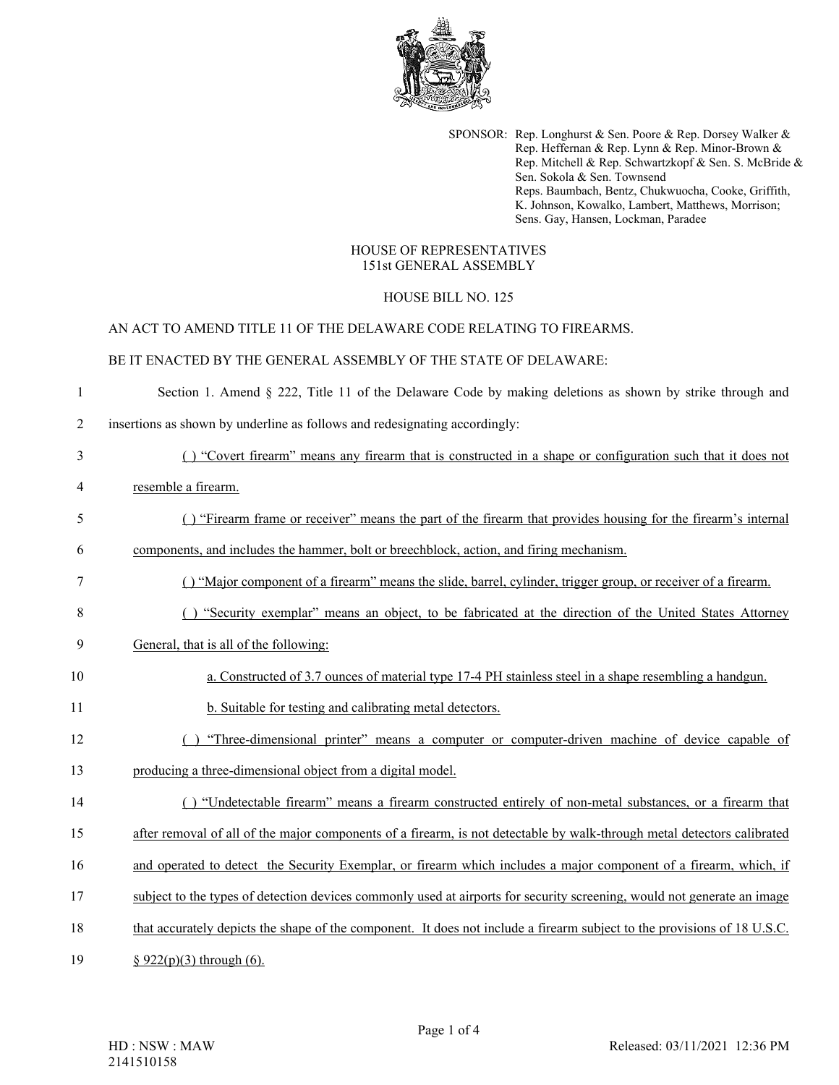

SPONSOR: Rep. Longhurst & Sen. Poore & Rep. Dorsey Walker & Rep. Heffernan & Rep. Lynn & Rep. Minor-Brown & Rep. Mitchell & Rep. Schwartzkopf & Sen. S. McBride & Sen. Sokola & Sen. Townsend Reps. Baumbach, Bentz, Chukwuocha, Cooke, Griffith, K. Johnson, Kowalko, Lambert, Matthews, Morrison; Sens. Gay, Hansen, Lockman, Paradee

#### HOUSE OF REPRESENTATIVES 151st GENERAL ASSEMBLY

# HOUSE BILL NO. 125

#### AN ACT TO AMEND TITLE 11 OF THE DELAWARE CODE RELATING TO FIREARMS.

# BE IT ENACTED BY THE GENERAL ASSEMBLY OF THE STATE OF DELAWARE:

1 Section 1. Amend § 222, Title 11 of the Delaware Code by making deletions as shown by strike through and

2 insertions as shown by underline as follows and redesignating accordingly:

| 3  | () "Covert firearm" means any firearm that is constructed in a shape or configuration such that it does not              |
|----|--------------------------------------------------------------------------------------------------------------------------|
| 4  | resemble a firearm.                                                                                                      |
| 5  | () "Firearm frame or receiver" means the part of the firearm that provides housing for the firearm's internal            |
| 6  | components, and includes the hammer, bolt or breechblock, action, and firing mechanism.                                  |
| 7  | () "Major component of a firearm" means the slide, barrel, cylinder, trigger group, or receiver of a firearm.            |
| 8  | "Security exemplar" means an object, to be fabricated at the direction of the United States Attorney                     |
| 9  | General, that is all of the following:                                                                                   |
| 10 | a. Constructed of 3.7 ounces of material type 17-4 PH stainless steel in a shape resembling a handgun.                   |
| 11 | b. Suitable for testing and calibrating metal detectors.                                                                 |
| 12 | "Three-dimensional printer" means a computer or computer-driven machine of device capable of                             |
| 13 | producing a three-dimensional object from a digital model.                                                               |
| 14 | () "Undetectable firearm" means a firearm constructed entirely of non-metal substances, or a firearm that                |
| 15 | after removal of all of the major components of a firearm, is not detectable by walk-through metal detectors calibrated  |
| 16 | and operated to detect the Security Exemplar, or firearm which includes a major component of a firearm, which, if        |
| 17 | subject to the types of detection devices commonly used at airports for security screening, would not generate an image  |
| 18 | that accurately depicts the shape of the component. It does not include a firearm subject to the provisions of 18 U.S.C. |
| 19 | $§ 922(p)(3)$ through (6).                                                                                               |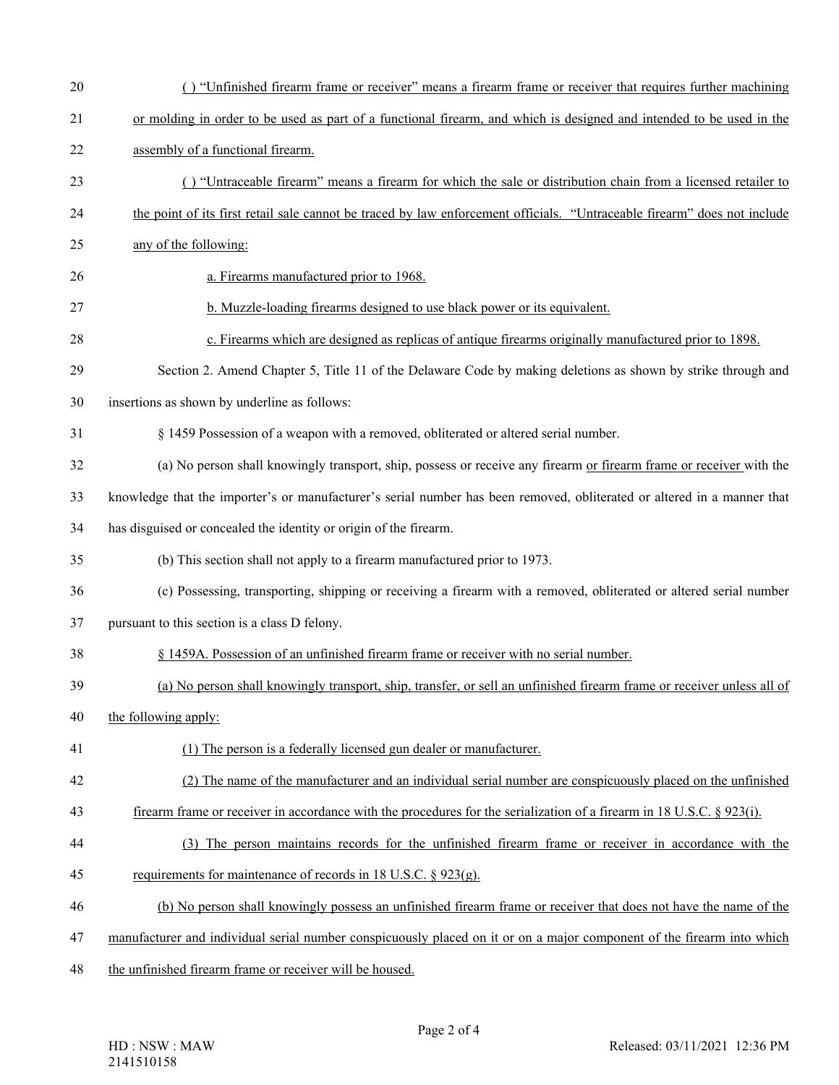| 21     | or molding in order to be used as part of a functional firearm, and which is designed and intended to be used in the     |
|--------|--------------------------------------------------------------------------------------------------------------------------|
| 22     | assembly of a functional firearm.                                                                                        |
| 23     | () "Untraceable firearm" means a firearm for which the sale or distribution chain from a licensed retailer to            |
| 24     | the point of its first retail sale cannot be traced by law enforcement officials. "Untraceable firearm" does not include |
| 25     | any of the following:                                                                                                    |
| 26     | a. Firearms manufactured prior to 1968.                                                                                  |
| 27     | b. Muzzle-loading firearms designed to use black power or its equivalent.                                                |
| 28     | c. Firearms which are designed as replicas of antique firearms originally manufactured prior to 1898.                    |
| 29     | Section 2. Amend Chapter 5, Title 11 of the Delaware Code by making deletions as shown by strike through and             |
| $30\,$ | insertions as shown by underline as follows:                                                                             |
| 31     | § 1459 Possession of a weapon with a removed, obliterated or altered serial number.                                      |
| 32     | (a) No person shall knowingly transport, ship, possess or receive any firearm or firearm frame or receiver with the      |
| 33     | knowledge that the importer's or manufacturer's serial number has been removed, obliterated or altered in a manner that  |
| 34     | has disguised or concealed the identity or origin of the firearm.                                                        |
| 35     | (b) This section shall not apply to a firearm manufactured prior to 1973.                                                |
| 36     | (c) Possessing, transporting, shipping or receiving a firearm with a removed, obliterated or altered serial number       |
| 37     | pursuant to this section is a class D felony.                                                                            |
| 38     | § 1459A. Possession of an unfinished firearm frame or receiver with no serial number.                                    |
| 39     | (a) No person shall knowingly transport, ship, transfer, or sell an unfinished firearm frame or receiver unless all of   |
| 40     | the following apply:                                                                                                     |
| 41     | (1) The person is a federally licensed gun dealer or manufacturer.                                                       |
| 42     | (2) The name of the manufacturer and an individual serial number are conspicuously placed on the unfinished              |
| 43     | firearm frame or receiver in accordance with the procedures for the serialization of a firearm in 18 U.S.C. § 923(i).    |
| 44     | (3) The person maintains records for the unfinished firearm frame or receiver in accordance with the                     |
| 45     | requirements for maintenance of records in 18 U.S.C. $\S$ 923(g).                                                        |
| 46     | (b) No person shall knowingly possess an unfinished firearm frame or receiver that does not have the name of the         |
| 47     | manufacturer and individual serial number conspicuously placed on it or on a major component of the firearm into which   |
| 48     | the unfinished firearm frame or receiver will be housed.                                                                 |

20 ( ) "Unfinished firearm frame or receiver" means a firearm frame or receiver that requires further machining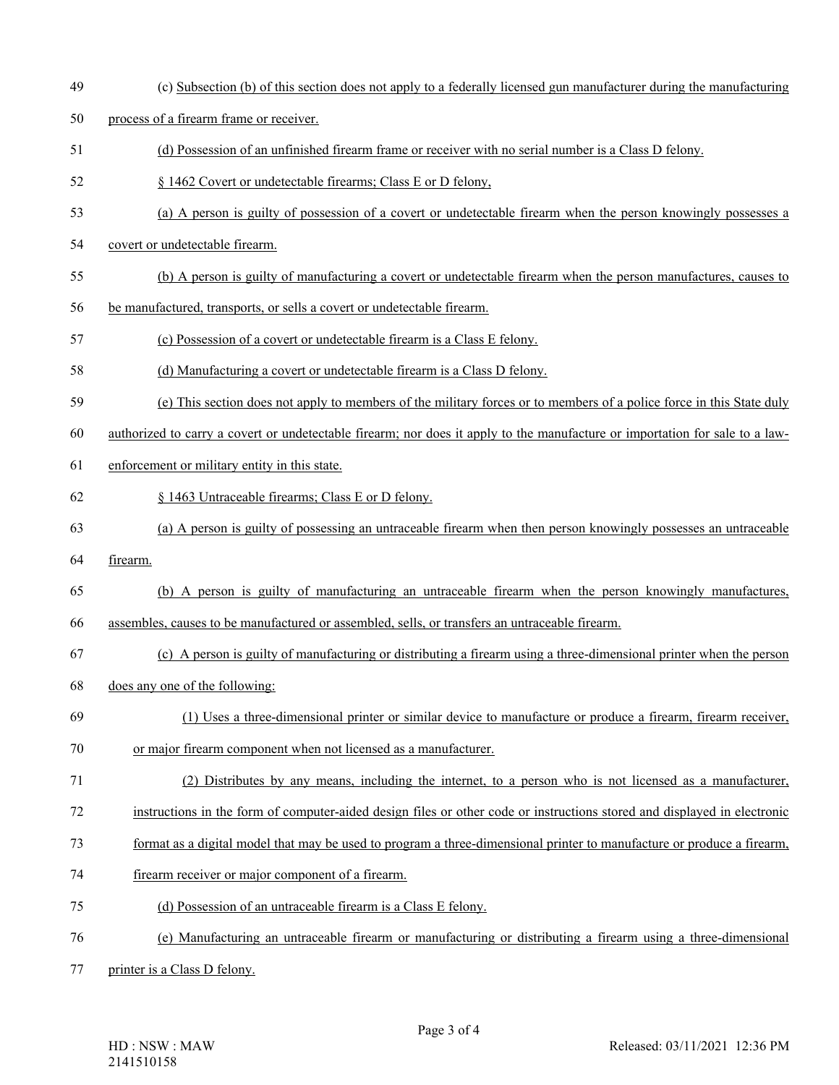- 
- 49 (c) Subsection (b) of this section does not apply to a federally licensed gun manufacturer during the manufacturing
- 50 process of a firearm frame or receiver.
- 51 (d) Possession of an unfinished firearm frame or receiver with no serial number is a Class D felony.
- 52 § 1462 Covert or undetectable firearms; Class E or D felony,
- 53 (a) A person is guilty of possession of a covert or undetectable firearm when the person knowingly possesses a
- 54 covert or undetectable firearm.
- 55 (b) A person is guilty of manufacturing a covert or undetectable firearm when the person manufactures, causes to
- 56 be manufactured, transports, or sells a covert or undetectable firearm.
- 57 (c) Possession of a covert or undetectable firearm is a Class E felony.
- 58 (d) Manufacturing a covert or undetectable firearm is a Class D felony.
- 59 (e) This section does not apply to members of the military forces or to members of a police force in this State duly
- 60 authorized to carry a covert or undetectable firearm; nor does it apply to the manufacture or importation for sale to a law-
- 61 enforcement or military entity in this state.
- 62 § 1463 Untraceable firearms; Class E or D felony.
- 63 (a) A person is guilty of possessing an untraceable firearm when then person knowingly possesses an untraceable
- 64 firearm.
- 65 (b) A person is guilty of manufacturing an untraceable firearm when the person knowingly manufactures,
- 66 assembles, causes to be manufactured or assembled, sells, or transfers an untraceable firearm.
- 67 (c) A person is guilty of manufacturing or distributing a firearm using a three-dimensional printer when the person
- 68 does any one of the following:
- 69 (1) Uses a three-dimensional printer or similar device to manufacture or produce a firearm, firearm receiver,
- 70 or major firearm component when not licensed as a manufacturer.
- 71 (2) Distributes by any means, including the internet, to a person who is not licensed as a manufacturer,
- 72 instructions in the form of computer-aided design files or other code or instructions stored and displayed in electronic
- 73 format as a digital model that may be used to program a three-dimensional printer to manufacture or produce a firearm,
- 74 firearm receiver or major component of a firearm.
- 75 (d) Possession of an untraceable firearm is a Class E felony.
- 76 (e) Manufacturing an untraceable firearm or manufacturing or distributing a firearm using a three-dimensional
- 77 printer is a Class D felony.